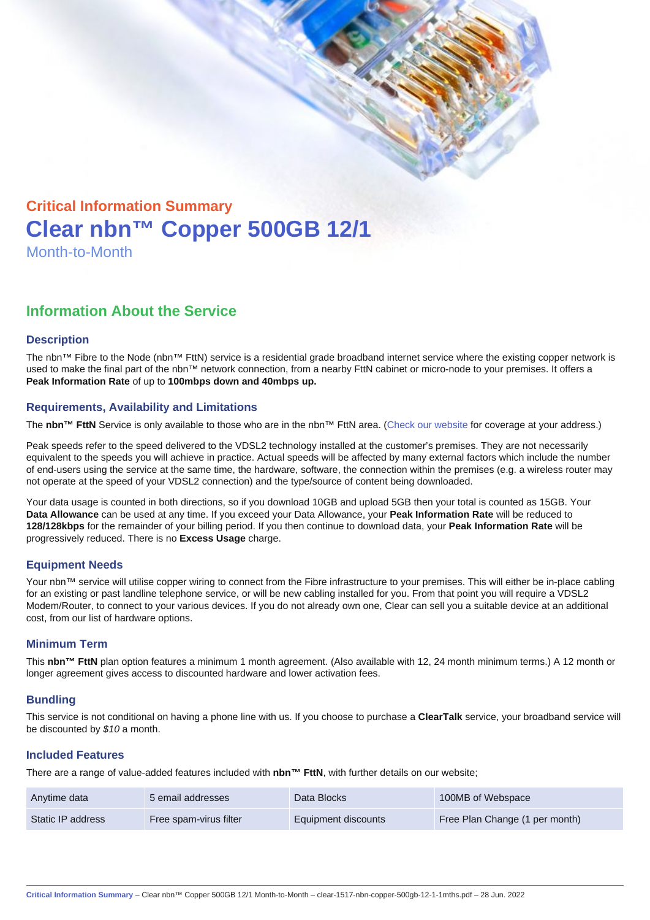# Critical Information Summary Clear nbn™ Copper 500GB 12/1 Month-to-Month

## Information About the Service

#### **Description**

The nbn™ Fibre to the Node (nbn™ FttN) service is a residential grade broadband internet service where the existing copper network is used to make the final part of the nbn™ network connection, from a nearby FttN cabinet or micro-node to your premises. It offers a Peak Information Rate of up to 100mbps down and 40mbps up.

#### Requirements, Availability and Limitations

The nbn™ FttN Service is only available to those who are in the nbn™ FttN area. ([Check our website](https://www.clear.com.au/residential/nbn-fixed/) for coverage at your address.)

Peak speeds refer to the speed delivered to the VDSL2 technology installed at the customer's premises. They are not necessarily equivalent to the speeds you will achieve in practice. Actual speeds will be affected by many external factors which include the number of end-users using the service at the same time, the hardware, software, the connection within the premises (e.g. a wireless router may not operate at the speed of your VDSL2 connection) and the type/source of content being downloaded.

Your data usage is counted in both directions, so if you download 10GB and upload 5GB then your total is counted as 15GB. Your Data Allowance can be used at any time. If you exceed your Data Allowance, your Peak Information Rate will be reduced to 128/128kbps for the remainder of your billing period. If you then continue to download data, your Peak Information Rate will be progressively reduced. There is no Excess Usage charge.

#### Equipment Needs

Your nbn™ service will utilise copper wiring to connect from the Fibre infrastructure to your premises. This will either be in-place cabling for an existing or past landline telephone service, or will be new cabling installed for you. From that point you will require a VDSL2 Modem/Router, to connect to your various devices. If you do not already own one, Clear can sell you a suitable device at an additional cost, from our list of hardware options.

#### Minimum Term

This nbn™ FttN plan option features a minimum 1 month agreement. (Also available with 12, 24 month minimum terms.) A 12 month or longer agreement gives access to discounted hardware and lower activation fees.

#### **Bundling**

This service is not conditional on having a phone line with us. If you choose to purchase a ClearTalk service, your broadband service will be discounted by \$10 a month.

#### Included Features

There are a range of value-added features included with nbn™ FttN , with further details on our website;

| Anytime data      | 5 email addresses      | Data Blocks         | 100MB of Webspace              |
|-------------------|------------------------|---------------------|--------------------------------|
| Static IP address | Free spam-virus filter | Equipment discounts | Free Plan Change (1 per month) |